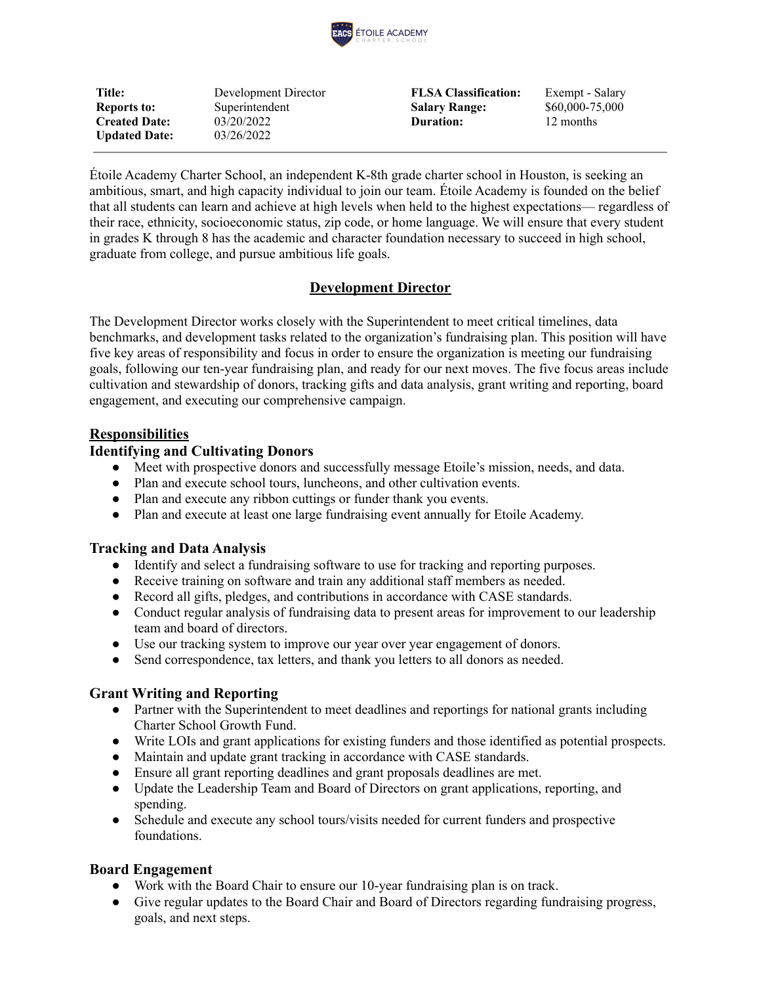

**Title:** Development Director **FLSA Classification:** Exempt - Salary **Reports to:** Superintendent **Salary Range:** \$60,000-75,000 **Created Date:** 03/20/2022 **Duration:** 12 months **Updated Date:** 03/26/2022

Étoile Academy Charter School, an independent K-8th grade charter school in Houston, is seeking an ambitious, smart, and high capacity individual to join our team. Étoile Academy is founded on the belief that all students can learn and achieve at high levels when held to the highest expectations— regardless of their race, ethnicity, socioeconomic status, zip code, or home language. We will ensure that every student in grades K through 8 has the academic and character foundation necessary to succeed in high school, graduate from college, and pursue ambitious life goals.

#### **Development Director**

The Development Director works closely with the Superintendent to meet critical timelines, data benchmarks, and development tasks related to the organization's fundraising plan. This position will have five key areas of responsibility and focus in order to ensure the organization is meeting our fundraising goals, following our ten-year fundraising plan, and ready for our next moves. The five focus areas include cultivation and stewardship of donors, tracking gifts and data analysis, grant writing and reporting, board engagement, and executing our comprehensive campaign.

## **Responsibilities**

#### **Identifying and Cultivating Donors**

- Meet with prospective donors and successfully message Etoile's mission, needs, and data.
- Plan and execute school tours, luncheons, and other cultivation events.
- Plan and execute any ribbon cuttings or funder thank you events.
- Plan and execute at least one large fundraising event annually for Etoile Academy.

## **Tracking and Data Analysis**

- Identify and select a fundraising software to use for tracking and reporting purposes.
- Receive training on software and train any additional staff members as needed.
- Record all gifts, pledges, and contributions in accordance with CASE standards.
- Conduct regular analysis of fundraising data to present areas for improvement to our leadership team and board of directors.
- Use our tracking system to improve our year over year engagement of donors.
- Send correspondence, tax letters, and thank you letters to all donors as needed.

## **Grant Writing and Reporting**

- Partner with the Superintendent to meet deadlines and reportings for national grants including Charter School Growth Fund.
- Write LOIs and grant applications for existing funders and those identified as potential prospects.
- Maintain and update grant tracking in accordance with CASE standards.
- Ensure all grant reporting deadlines and grant proposals deadlines are met.
- Update the Leadership Team and Board of Directors on grant applications, reporting, and spending.
- Schedule and execute any school tours/visits needed for current funders and prospective foundations.

## **Board Engagement**

- Work with the Board Chair to ensure our 10-year fundraising plan is on track.
- Give regular updates to the Board Chair and Board of Directors regarding fundraising progress, goals, and next steps.